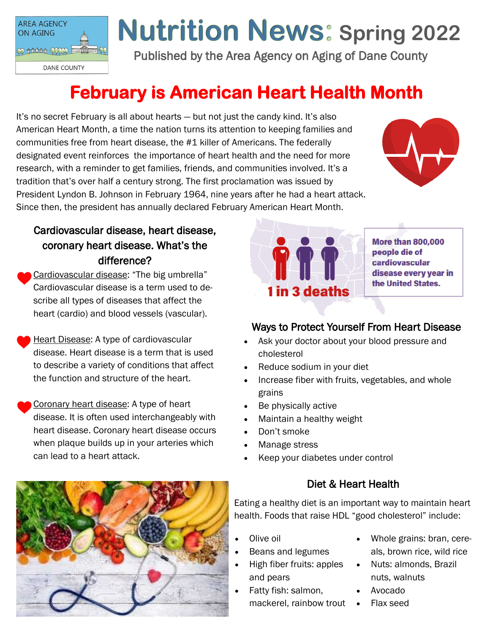

# **Nutrition News: Spring 2022**

Published by the Area Agency on Aging of Dane County

# **February is American Heart Health Month**

It's no secret February is all about hearts — but not just the candy kind. It's also American Heart Month, a time the nation turns its attention to keeping families and communities free from heart disease, the #1 killer of Americans. The federally designated event reinforces the importance of heart health and the need for more research, with a reminder to get families, friends, and communities involved. It's a tradition that's over half a century strong. The first proclamation was issued by President Lyndon B. Johnson in February 1964, nine years after he had a heart attack. Since then, the president has annually declared February American Heart Month.



# Cardiovascular disease, heart disease, coronary heart disease. What's the difference?

- Cardiovascular disease: "The big umbrella" Cardiovascular disease is a term used to describe all types of diseases that affect the heart (cardio) and blood vessels (vascular).
- Heart Disease: A type of cardiovascular disease. Heart disease is a term that is used to describe a variety of conditions that affect the function and structure of the heart.
- Coronary heart disease: A type of heart disease. It is often used interchangeably with heart disease. Coronary heart disease occurs when plaque builds up in your arteries which can lead to a heart attack.



**More than 800,000** people die of cardiovascular disease every year in the United States.

## Ways to Protect Yourself From Heart Disease

- Ask your doctor about your blood pressure and cholesterol
- Reduce sodium in your diet
- Increase fiber with fruits, vegetables, and whole grains
- Be physically active
- Maintain a healthy weight
- Don't smoke
- Manage stress
- Keep your diabetes under control

## Diet & Heart Health

Eating a healthy diet is an important way to maintain heart health. Foods that raise HDL "good cholesterol" include:

- Olive oil
- Beans and legumes
- High fiber fruits: apples and pears
- Fatty fish: salmon, mackerel, rainbow trout •
- Whole grains: bran, cereals, brown rice, wild rice
- Nuts: almonds, Brazil nuts, walnuts
	- Avocado
	- Flax seed